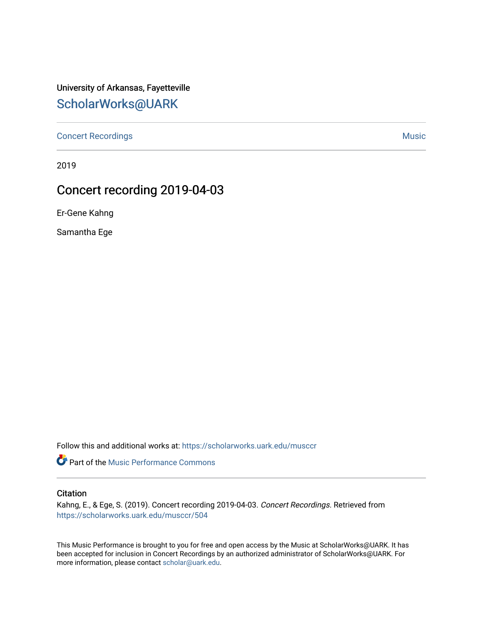## University of Arkansas, Fayetteville [ScholarWorks@UARK](https://scholarworks.uark.edu/)

[Concert Recordings](https://scholarworks.uark.edu/musccr) [Music](https://scholarworks.uark.edu/musc) Network and Security Assembly and Security Assembly Assembly Assembly Assembly Assembly

2019

# Concert recording 2019-04-03

Er-Gene Kahng

Samantha Ege

Follow this and additional works at: [https://scholarworks.uark.edu/musccr](https://scholarworks.uark.edu/musccr?utm_source=scholarworks.uark.edu%2Fmusccr%2F504&utm_medium=PDF&utm_campaign=PDFCoverPages) 

Part of the [Music Performance Commons](http://network.bepress.com/hgg/discipline/1128?utm_source=scholarworks.uark.edu%2Fmusccr%2F504&utm_medium=PDF&utm_campaign=PDFCoverPages)

### **Citation**

Kahng, E., & Ege, S. (2019). Concert recording 2019-04-03. Concert Recordings. Retrieved from [https://scholarworks.uark.edu/musccr/504](https://scholarworks.uark.edu/musccr/504?utm_source=scholarworks.uark.edu%2Fmusccr%2F504&utm_medium=PDF&utm_campaign=PDFCoverPages) 

This Music Performance is brought to you for free and open access by the Music at ScholarWorks@UARK. It has been accepted for inclusion in Concert Recordings by an authorized administrator of ScholarWorks@UARK. For more information, please contact [scholar@uark.edu.](mailto:scholar@uark.edu)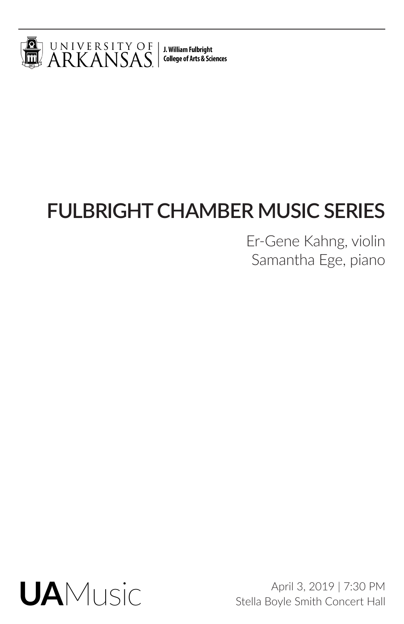

J. William Fulbright **College of Arts & Sciences** 

# **FULBRIGHT CHAMBER MUSIC SERIES**

Er-Gene Kahng, violin Samantha Ege, piano



April 3, 2019 | 7:30 PM Stella Boyle Smith Concert Hall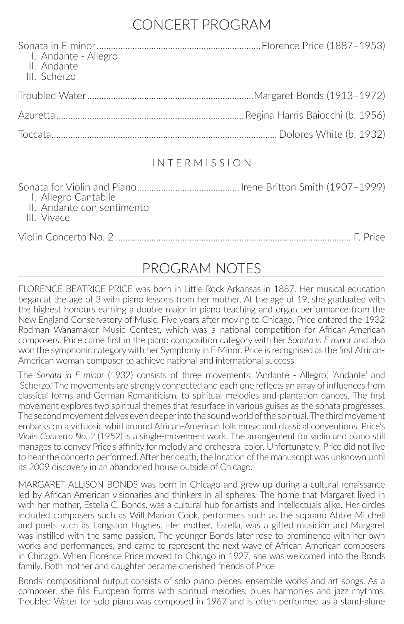### CONCERT PROGRAM

| I. Andante - Allegro<br>II. Andante<br>III. Scherzo |  |
|-----------------------------------------------------|--|
|                                                     |  |
|                                                     |  |
|                                                     |  |

### I N T E R M I S S I O N

Sonata for Violin and Piano........................................... Irene Britton Smith (1907–1999) I. Allegro Cantabile II. Andante con sentimento III. Vivace

Violin Concerto No. 2 ................................................................................................... F. Price

### PROGRAM NOTES

FLORENCE BEATRICE PRICE was born in Little Rock Arkansas in 1887. Her musical education began at the age of 3 with piano lessons from her mother. At the age of 19, she graduated with the highest honours earning a double major in piano teaching and organ performance from the New England Conservatory of Music. Five years after moving to Chicago, Price entered the 1932 Rodman Wanamaker Music Contest, which was a national competition for African-American composers. Price came first in the piano composition category with her *Sonata in E minor* and also won the symphonic category with her Symphony in E Minor. Price is recognised as the first African-American woman composer to achieve national and international success.

The *Sonata in E minor* (1932) consists of three movements: 'Andante - Allegro,' 'Andante' and 'Scherzo.' The movements are strongly connected and each one reflects an array of influences from classical forms and German Romanticism, to spiritual melodies and plantation dances. The first movement explores two spiritual themes that resurface in various guises as the sonata progresses. The second movement delves even deeper into the sound world of the spiritual. The third movement embarks on a virtuosic whirl around African-American folk music and classical conventions. Price's *Violin Concerto No. 2* (1952) is a single-movement work. The arrangement for violin and piano still manages to convey Price's affinity for melody and orchestral color. Unfortunately, Price did not live to hear the concerto performed. After her death, the location of the manuscript was unknown until its 2009 discovery in an abandoned house outside of Chicago.

MARGARET ALLISON BONDS was born in Chicago and grew up during a cultural renaissance led by African American visionaries and thinkers in all spheres. The home that Margaret lived in with her mother, Estella C. Bonds, was a cultural hub for artists and intellectuals alike. Her circles included composers such as Will Marion Cook, performers such as the soprano Abbie Mitchell and poets such as Langston Hughes. Her mother, Estella, was a gifted musician and Margaret was instilled with the same passion. The younger Bonds later rose to prominence with her own works and performances, and came to represent the next wave of African-American composers in Chicago. When Florence Price moved to Chicago in 1927, she was welcomed into the Bonds family. Both mother and daughter became cherished friends of Price

Bonds' compositional output consists of solo piano pieces, ensemble works and art songs. As a composer, she fills European forms with spiritual melodies, blues harmonies and jazz rhythms. Troubled Water for solo piano was composed in 1967 and is often performed as a stand-alone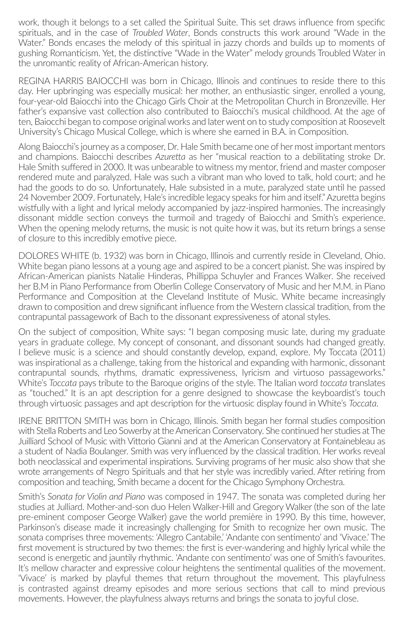work, though it belongs to a set called the Spiritual Suite. This set draws influence from specific spirituals, and in the case of *Troubled Water*, Bonds constructs this work around "Wade in the Water." Bonds encases the melody of this spiritual in jazzy chords and builds up to moments of gushing Romanticism. Yet, the distinctive "Wade in the Water" melody grounds Troubled Water in the unromantic reality of African-American history.

REGINA HARRIS BAIOCCHI was born in Chicago, Illinois and continues to reside there to this day. Her upbringing was especially musical: her mother, an enthusiastic singer, enrolled a young, four-year-old Baiocchi into the Chicago Girls Choir at the Metropolitan Church in Bronzeville. Her father's expansive vast collection also contributed to Baiocchi's musical childhood. At the age of ten, Baiocchi began to compose original works and later went on to study composition at Roosevelt University's Chicago Musical College, which is where she earned in B.A. in Composition.

Along Baiocchi's journey as a composer, Dr. Hale Smith became one of her most important mentors and champions. Baiocchi describes *Azuretta* as her "musical reaction to a debilitating stroke Dr. Hale Smith suffered in 2000. It was unbearable to witness my mentor, friend and master composer rendered mute and paralyzed. Hale was such a vibrant man who loved to talk, hold court; and he had the goods to do so. Unfortunately, Hale subsisted in a mute, paralyzed state until he passed 24 November 2009. Fortunately, Hale's incredible legacy speaks for him and itself." Azuretta begins wistfully with a light and lyrical melody accompanied by jazz-inspired harmonies. The increasingly dissonant middle section conveys the turmoil and tragedy of Baiocchi and Smith's experience. When the opening melody returns, the music is not quite how it was, but its return brings a sense of closure to this incredibly emotive piece.

DOLORES WHITE (b. 1932) was born in Chicago, Illinois and currently reside in Cleveland, Ohio. White began piano lessons at a young age and aspired to be a concert pianist. She was inspired by African-American pianists Natalie Hinderas, Phillippa Schuyler and Frances Walker. She received her B.M in Piano Performance from Oberlin College Conservatory of Music and her M.M. in Piano Performance and Composition at the Cleveland Institute of Music. White became increasingly drawn to composition and drew significant influence from the Western classical tradition, from the contrapuntal passagework of Bach to the dissonant expressiveness of atonal styles.

On the subject of composition, White says: "I began composing music late, during my graduate years in graduate college. My concept of consonant, and dissonant sounds had changed greatly. I believe music is a science and should constantly develop, expand, explore. My Toccata (2011) was inspirational as a challenge, taking from the historical and expanding with harmonic, dissonant contrapuntal sounds, rhythms, dramatic expressiveness, lyricism and virtuoso passageworks." White's *Toccata* pays tribute to the Baroque origins of the style. The Italian word *toccata* translates as "touched." It is an apt description for a genre designed to showcase the keyboardist's touch through virtuosic passages and apt description for the virtuosic display found in White's *Toccata*.

IRENE BRITTON SMITH was born in Chicago, Illinois. Smith began her formal studies composition with Stella Roberts and Leo Sowerby at the American Conservatory. She continued her studies at The Juilliard School of Music with Vittorio Gianni and at the American Conservatory at Fontainebleau as a student of Nadia Boulanger. Smith was very influenced by the classical tradition. Her works reveal both neoclassical and experimental inspirations. Surviving programs of her music also show that she wrote arrangements of Negro Spirituals and that her style was incredibly varied. After retiring from composition and teaching, Smith became a docent for the Chicago Symphony Orchestra.

Smith's *Sonata for Violin and Piano* was composed in 1947. The sonata was completed during her studies at Julliard. Mother-and-son duo Helen Walker-Hill and Gregory Walker (the son of the late pre-eminent composer George Walker) gave the world première in 1990. By this time, however, Parkinson's disease made it increasingly challenging for Smith to recognize her own music. The sonata comprises three movements: 'Allegro Cantabile,' 'Andante con sentimento' and 'Vivace.' The first movement is structured by two themes: the first is ever-wandering and highly lyrical while the second is energetic and jauntily rhythmic. 'Andante con sentimento' was one of Smith's favourites. It's mellow character and expressive colour heightens the sentimental qualities of the movement. 'Vivace' is marked by playful themes that return throughout the movement. This playfulness is contrasted against dreamy episodes and more serious sections that call to mind previous movements. However, the playfulness always returns and brings the sonata to joyful close.